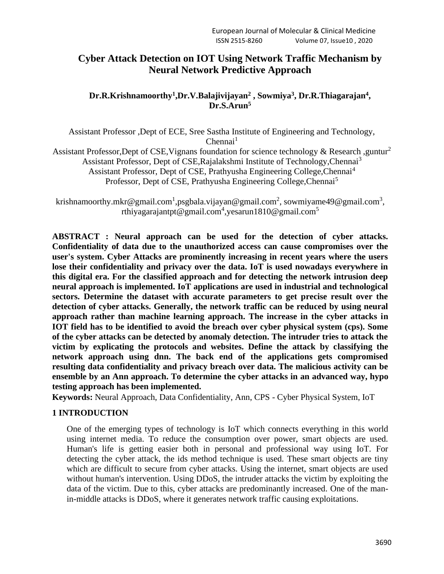# **Cyber Attack Detection on IOT Using Network Traffic Mechanism by Neural Network Predictive Approach**

# $\mathbf{D}$ r**.R.K**rishnamoorthy<sup>1</sup>,Dr.V.Balajivijayan<sup>2</sup> , Sowmiya<sup>3</sup>, Dr.R.Thiagarajan<sup>4</sup>, **Dr.S.Arun<sup>5</sup>**

Assistant Professor ,Dept of ECE, Sree Sastha Institute of Engineering and Technology,  $Chennai<sup>1</sup>$ 

Assistant Professor,Dept of CSE, Vignans foundation for science technology & Research, guntur<sup>2</sup> Assistant Professor, Dept of CSE,Rajalakshmi Institute of Technology,Chennai<sup>3</sup> Assistant Professor, Dept of CSE, Prathyusha Engineering College, Chennai<sup>4</sup> Professor, Dept of CSE, Prathyusha Engineering College, Chennai<sup>5</sup>

krishnamoorthy.mkr@gmail.com<sup>1</sup>[,psgbala.vijayan@gmail.com](mailto:psgbala.vijayan@gmail.com1)<sup>2</sup>, [sowmiyame49@gmail.com](mailto:sowmiyame49@gmail.com3,krishnamoorthy.mkr@gmail.com4)<sup>3</sup>, [rthiyagarajantpt@gmail.com](mailto:rthiyagarajantpt@gmail.com2)<sup>4</sup>,yesarun1810@gmail.com<sup>5</sup>

**ABSTRACT : Neural approach can be used for the detection of cyber attacks. Confidentiality of data due to the unauthorized access can cause compromises over the user's system. Cyber Attacks are prominently increasing in recent years where the users lose their confidentiality and privacy over the data. IoT is used nowadays everywhere in this digital era. For the classified approach and for detecting the network intrusion deep neural approach is implemented. IoT applications are used in industrial and technological sectors. Determine the dataset with accurate parameters to get precise result over the detection of cyber attacks. Generally, the network traffic can be reduced by using neural approach rather than machine learning approach. The increase in the cyber attacks in IOT field has to be identified to avoid the breach over cyber physical system (cps). Some of the cyber attacks can be detected by anomaly detection. The intruder tries to attack the victim by explicating the protocols and websites. Define the attack by classifying the network approach using dnn. The back end of the applications gets compromised resulting data confidentiality and privacy breach over data. The malicious activity can be ensemble by an Ann approach. To determine the cyber attacks in an advanced way, hypo testing approach has been implemented.**

**Keywords:** Neural Approach, Data Confidentiality, Ann, CPS - Cyber Physical System, IoT

### **1 INTRODUCTION**

One of the emerging types of technology is IoT which connects everything in this world using internet media. To reduce the consumption over power, smart objects are used. Human's life is getting easier both in personal and professional way using IoT. For detecting the cyber attack, the ids method technique is used. These smart objects are tiny which are difficult to secure from cyber attacks. Using the internet, smart objects are used without human's intervention. Using DDoS, the intruder attacks the victim by exploiting the data of the victim. Due to this, cyber attacks are predominantly increased. One of the manin-middle attacks is DDoS, where it generates network traffic causing exploitations.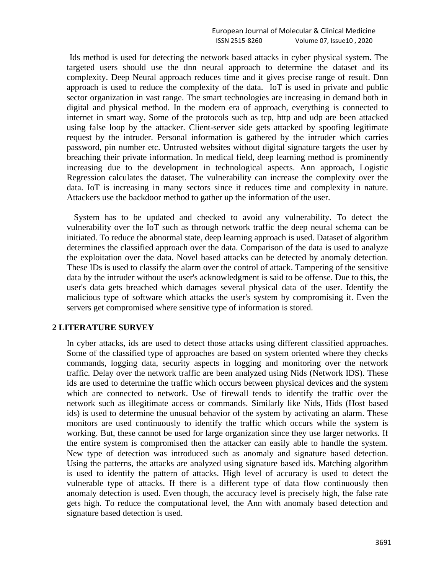Ids method is used for detecting the network based attacks in cyber physical system. The targeted users should use the dnn neural approach to determine the dataset and its complexity. Deep Neural approach reduces time and it gives precise range of result. Dnn approach is used to reduce the complexity of the data. IoT is used in private and public sector organization in vast range. The smart technologies are increasing in demand both in digital and physical method. In the modern era of approach, everything is connected to internet in smart way. Some of the protocols such as tcp, http and udp are been attacked using false loop by the attacker. Client-server side gets attacked by spoofing legitimate request by the intruder. Personal information is gathered by the intruder which carries password, pin number etc. Untrusted websites without digital signature targets the user by breaching their private information. In medical field, deep learning method is prominently increasing due to the development in technological aspects. Ann approach, Logistic Regression calculates the dataset. The vulnerability can increase the complexity over the data. IoT is increasing in many sectors since it reduces time and complexity in nature. Attackers use the backdoor method to gather up the information of the user.

 System has to be updated and checked to avoid any vulnerability. To detect the vulnerability over the IoT such as through network traffic the deep neural schema can be initiated. To reduce the abnormal state, deep learning approach is used. Dataset of algorithm determines the classified approach over the data. Comparison of the data is used to analyze the exploitation over the data. Novel based attacks can be detected by anomaly detection. These IDs is used to classify the alarm over the control of attack. Tampering of the sensitive data by the intruder without the user's acknowledgment is said to be offense. Due to this, the user's data gets breached which damages several physical data of the user. Identify the malicious type of software which attacks the user's system by compromising it. Even the servers get compromised where sensitive type of information is stored.

#### **2 LITERATURE SURVEY**

In cyber attacks, ids are used to detect those attacks using different classified approaches. Some of the classified type of approaches are based on system oriented where they checks commands, logging data, security aspects in logging and monitoring over the network traffic. Delay over the network traffic are been analyzed using Nids (Network IDS). These ids are used to determine the traffic which occurs between physical devices and the system which are connected to network. Use of firewall tends to identify the traffic over the network such as illegitimate access or commands. Similarly like Nids, Hids (Host based ids) is used to determine the unusual behavior of the system by activating an alarm. These monitors are used continuously to identify the traffic which occurs while the system is working. But, these cannot be used for large organization since they use larger networks. If the entire system is compromised then the attacker can easily able to handle the system. New type of detection was introduced such as anomaly and signature based detection. Using the patterns, the attacks are analyzed using signature based ids. Matching algorithm is used to identify the pattern of attacks. High level of accuracy is used to detect the vulnerable type of attacks. If there is a different type of data flow continuously then anomaly detection is used. Even though, the accuracy level is precisely high, the false rate gets high. To reduce the computational level, the Ann with anomaly based detection and signature based detection is used.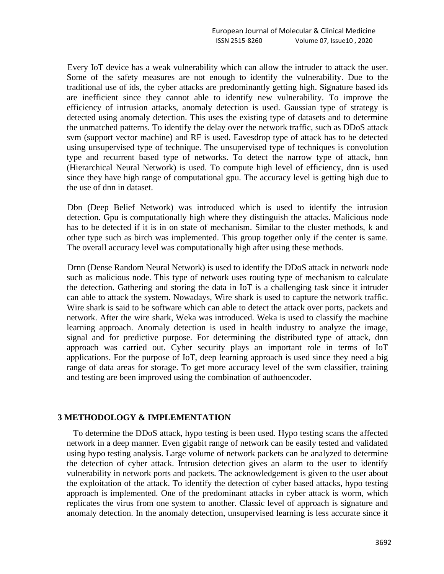Every IoT device has a weak vulnerability which can allow the intruder to attack the user. Some of the safety measures are not enough to identify the vulnerability. Due to the traditional use of ids, the cyber attacks are predominantly getting high. Signature based ids are inefficient since they cannot able to identify new vulnerability. To improve the efficiency of intrusion attacks, anomaly detection is used. Gaussian type of strategy is detected using anomaly detection. This uses the existing type of datasets and to determine the unmatched patterns. To identify the delay over the network traffic, such as DDoS attack svm (support vector machine) and RF is used. Eavesdrop type of attack has to be detected using unsupervised type of technique. The unsupervised type of techniques is convolution type and recurrent based type of networks. To detect the narrow type of attack, hnn (Hierarchical Neural Network) is used. To compute high level of efficiency, dnn is used since they have high range of computational gpu. The accuracy level is getting high due to the use of dnn in dataset.

Dbn (Deep Belief Network) was introduced which is used to identify the intrusion detection. Gpu is computationally high where they distinguish the attacks. Malicious node has to be detected if it is in on state of mechanism. Similar to the cluster methods, k and other type such as birch was implemented. This group together only if the center is same. The overall accuracy level was computationally high after using these methods.

Drnn (Dense Random Neural Network) is used to identify the DDoS attack in network node such as malicious node. This type of network uses routing type of mechanism to calculate the detection. Gathering and storing the data in IoT is a challenging task since it intruder can able to attack the system. Nowadays, Wire shark is used to capture the network traffic. Wire shark is said to be software which can able to detect the attack over ports, packets and network. After the wire shark, Weka was introduced. Weka is used to classify the machine learning approach. Anomaly detection is used in health industry to analyze the image, signal and for predictive purpose. For determining the distributed type of attack, dnn approach was carried out. Cyber security plays an important role in terms of IoT applications. For the purpose of IoT, deep learning approach is used since they need a big range of data areas for storage. To get more accuracy level of the svm classifier, training and testing are been improved using the combination of authoencoder.

#### **3 METHODOLOGY & IMPLEMENTATION**

To determine the DDoS attack, hypo testing is been used. Hypo testing scans the affected network in a deep manner. Even gigabit range of network can be easily tested and validated using hypo testing analysis. Large volume of network packets can be analyzed to determine the detection of cyber attack. Intrusion detection gives an alarm to the user to identify vulnerability in network ports and packets. The acknowledgement is given to the user about the exploitation of the attack. To identify the detection of cyber based attacks, hypo testing approach is implemented. One of the predominant attacks in cyber attack is worm, which replicates the virus from one system to another. Classic level of approach is signature and anomaly detection. In the anomaly detection, unsupervised learning is less accurate since it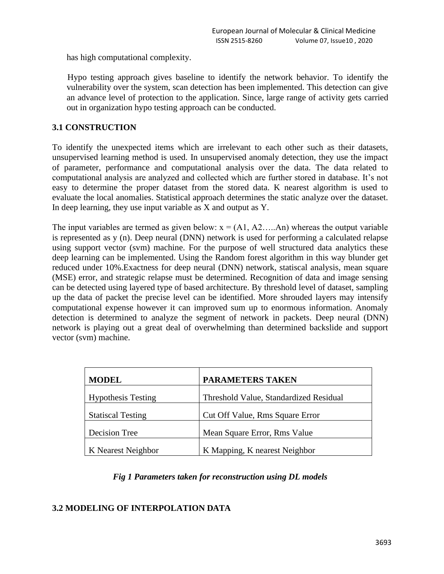has high computational complexity.

Hypo testing approach gives baseline to identify the network behavior. To identify the vulnerability over the system, scan detection has been implemented. This detection can give an advance level of protection to the application. Since, large range of activity gets carried out in organization hypo testing approach can be conducted.

# **3.1 CONSTRUCTION**

To identify the unexpected items which are irrelevant to each other such as their datasets, unsupervised learning method is used. In unsupervised anomaly detection, they use the impact of parameter, performance and computational analysis over the data. The data related to computational analysis are analyzed and collected which are further stored in database. It's not easy to determine the proper dataset from the stored data. K nearest algorithm is used to evaluate the local anomalies. Statistical approach determines the static analyze over the dataset. In deep learning, they use input variable as X and output as Y.

The input variables are termed as given below:  $x = (A1, A2, \dots, An)$  whereas the output variable is represented as y (n). Deep neural (DNN) network is used for performing a calculated relapse using support vector (svm) machine. For the purpose of well structured data analytics these deep learning can be implemented. Using the Random forest algorithm in this way blunder get reduced under 10%.Exactness for deep neural (DNN) network, statiscal analysis, mean square (MSE) error, and strategic relapse must be determined. Recognition of data and image sensing can be detected using layered type of based architecture. By threshold level of dataset, sampling up the data of packet the precise level can be identified. More shrouded layers may intensify computational expense however it can improved sum up to enormous information. Anomaly detection is determined to analyze the segment of network in packets. Deep neural (DNN) network is playing out a great deal of overwhelming than determined backslide and support vector (svm) machine.

| <b>MODEL</b>              | <b>PARAMETERS TAKEN</b>                |  |
|---------------------------|----------------------------------------|--|
| <b>Hypothesis Testing</b> | Threshold Value, Standardized Residual |  |
| <b>Statiscal Testing</b>  | Cut Off Value, Rms Square Error        |  |
| Decision Tree             | Mean Square Error, Rms Value           |  |
| K Nearest Neighbor        | K Mapping, K nearest Neighbor          |  |

# *Fig 1 Parameters taken for reconstruction using DL models*

# **3.2 MODELING OF INTERPOLATION DATA**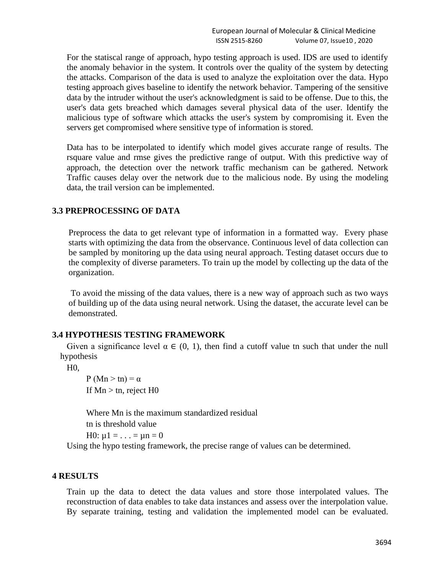For the statiscal range of approach, hypo testing approach is used. IDS are used to identify the anomaly behavior in the system. It controls over the quality of the system by detecting the attacks. Comparison of the data is used to analyze the exploitation over the data. Hypo testing approach gives baseline to identify the network behavior. Tampering of the sensitive data by the intruder without the user's acknowledgment is said to be offense. Due to this, the user's data gets breached which damages several physical data of the user. Identify the malicious type of software which attacks the user's system by compromising it. Even the servers get compromised where sensitive type of information is stored.

Data has to be interpolated to identify which model gives accurate range of results. The rsquare value and rmse gives the predictive range of output. With this predictive way of approach, the detection over the network traffic mechanism can be gathered. Network Traffic causes delay over the network due to the malicious node. By using the modeling data, the trail version can be implemented.

#### **3.3 PREPROCESSING OF DATA**

Preprocess the data to get relevant type of information in a formatted way. Every phase starts with optimizing the data from the observance. Continuous level of data collection can be sampled by monitoring up the data using neural approach. Testing dataset occurs due to the complexity of diverse parameters. To train up the model by collecting up the data of the organization.

To avoid the missing of the data values, there is a new way of approach such as two ways of building up of the data using neural network. Using the dataset, the accurate level can be demonstrated.

#### **3.4 HYPOTHESIS TESTING FRAMEWORK**

Given a significance level  $\alpha \in (0, 1)$ , then find a cutoff value tn such that under the null hypothesis

H0,

 $P(Mn > tn) = \alpha$ If  $Mn > tn$ , reject  $H0$ 

Where Mn is the maximum standardized residual

tn is threshold value

H0:  $\mu$ 1 = . . . =  $\mu$ n = 0

Using the hypo testing framework, the precise range of values can be determined.

### **4 RESULTS**

 Train up the data to detect the data values and store those interpolated values. The reconstruction of data enables to take data instances and assess over the interpolation value. By separate training, testing and validation the implemented model can be evaluated.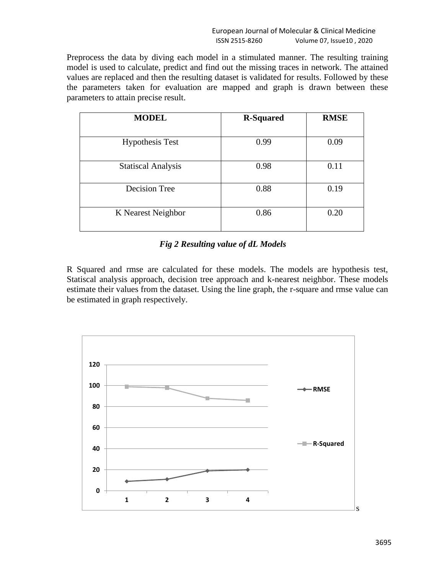Preprocess the data by diving each model in a stimulated manner. The resulting training model is used to calculate, predict and find out the missing traces in network. The attained values are replaced and then the resulting dataset is validated for results. Followed by these the parameters taken for evaluation are mapped and graph is drawn between these parameters to attain precise result.

| <b>MODEL</b>              | <b>R-Squared</b> | <b>RMSE</b> |
|---------------------------|------------------|-------------|
| <b>Hypothesis Test</b>    | 0.99             | 0.09        |
| <b>Statiscal Analysis</b> | 0.98             | 0.11        |
| Decision Tree             | 0.88             | 0.19        |
| K Nearest Neighbor        | 0.86             | 0.20        |

### *Fig 2 Resulting value of dL Models*

R Squared and rmse are calculated for these models. The models are hypothesis test, Statiscal analysis approach, decision tree approach and k-nearest neighbor. These models estimate their values from the dataset. Using the line graph, the r-square and rmse value can be estimated in graph respectively.

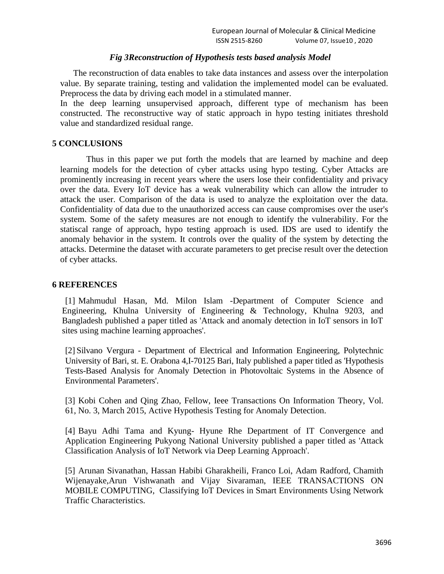#### *Fig 3Reconstruction of Hypothesis tests based analysis Model*

The reconstruction of data enables to take data instances and assess over the interpolation value. By separate training, testing and validation the implemented model can be evaluated. Preprocess the data by driving each model in a stimulated manner.

In the deep learning unsupervised approach, different type of mechanism has been constructed. The reconstructive way of static approach in hypo testing initiates threshold value and standardized residual range.

## **5 CONCLUSIONS**

Thus in this paper we put forth the models that are learned by machine and deep learning models for the detection of cyber attacks using hypo testing. Cyber Attacks are prominently increasing in recent years where the users lose their confidentiality and privacy over the data. Every IoT device has a weak vulnerability which can allow the intruder to attack the user. Comparison of the data is used to analyze the exploitation over the data. Confidentiality of data due to the unauthorized access can cause compromises over the user's system. Some of the safety measures are not enough to identify the vulnerability. For the statiscal range of approach, hypo testing approach is used. IDS are used to identify the anomaly behavior in the system. It controls over the quality of the system by detecting the attacks. Determine the dataset with accurate parameters to get precise result over the detection of cyber attacks.

### **6 REFERENCES**

[1] Mahmudul Hasan, Md. Milon Islam -Department of Computer Science and Engineering, Khulna University of Engineering & Technology, Khulna 9203, and Bangladesh published a paper titled as 'Attack and anomaly detection in IoT sensors in IoT sites using machine learning approaches'.

[2] Silvano Vergura - Department of Electrical and Information Engineering, Polytechnic University of Bari, st. E. Orabona 4,I-70125 Bari, Italy published a paper titled as 'Hypothesis Tests-Based Analysis for Anomaly Detection in Photovoltaic Systems in the Absence of Environmental Parameters'.

[3] Kobi Cohen and Qing Zhao, Fellow, Ieee Transactions On Information Theory, Vol. 61, No. 3, March 2015, Active Hypothesis Testing for Anomaly Detection.

[4] Bayu Adhi Tama and Kyung- Hyune Rhe Department of IT Convergence and Application Engineering Pukyong National University published a paper titled as 'Attack Classification Analysis of IoT Network via Deep Learning Approach'.

[5] Arunan Sivanathan, Hassan Habibi Gharakheili, Franco Loi, Adam Radford, Chamith Wijenayake,Arun Vishwanath and Vijay Sivaraman, IEEE TRANSACTIONS ON MOBILE COMPUTING, Classifying IoT Devices in Smart Environments Using Network Traffic Characteristics.